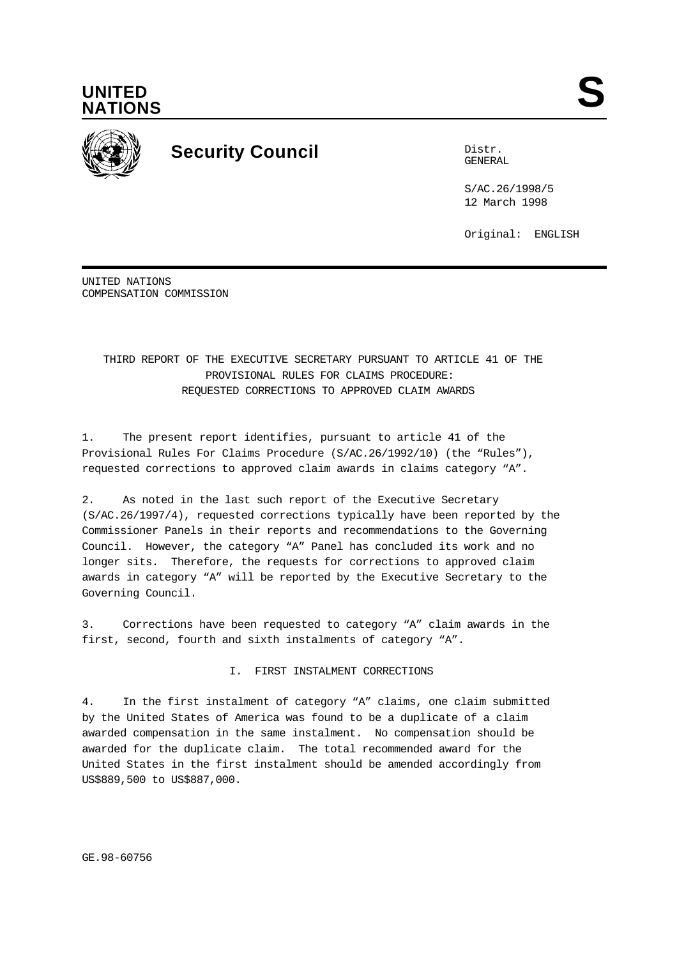



# **Security Council** Distribution Distribution

GENERAL

S/AC.26/1998/5 12 March 1998

Original: ENGLISH

UNITED NATIONS COMPENSATION COMMISSION

# THIRD REPORT OF THE EXECUTIVE SECRETARY PURSUANT TO ARTICLE 41 OF THE PROVISIONAL RULES FOR CLAIMS PROCEDURE: REQUESTED CORRECTIONS TO APPROVED CLAIM AWARDS

1. The present report identifies, pursuant to article 41 of the Provisional Rules For Claims Procedure (S/AC.26/1992/10) (the "Rules"), requested corrections to approved claim awards in claims category "A".

2. As noted in the last such report of the Executive Secretary (S/AC.26/1997/4), requested corrections typically have been reported by the Commissioner Panels in their reports and recommendations to the Governing Council. However, the category "A" Panel has concluded its work and no longer sits. Therefore, the requests for corrections to approved claim awards in category "A" will be reported by the Executive Secretary to the Governing Council.

3. Corrections have been requested to category "A" claim awards in the first, second, fourth and sixth instalments of category "A".

I. FIRST INSTALMENT CORRECTIONS

4. In the first instalment of category "A" claims, one claim submitted by the United States of America was found to be a duplicate of a claim awarded compensation in the same instalment. No compensation should be awarded for the duplicate claim. The total recommended award for the United States in the first instalment should be amended accordingly from US\$889,500 to US\$887,000.